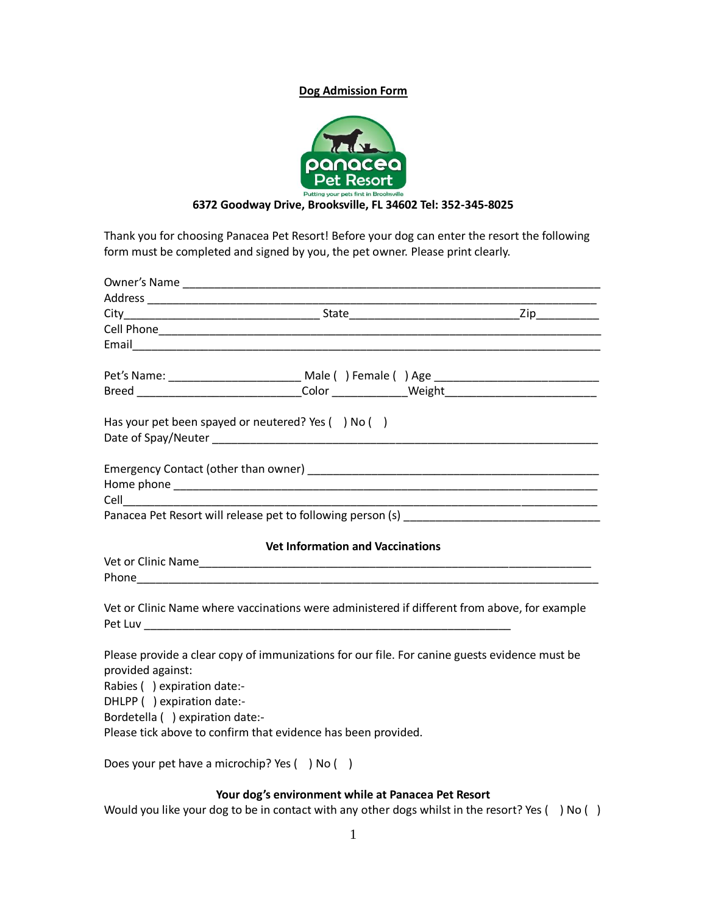## **Dog Admission Form**



# **6372 Goodway Drive, Brooksville, FL 34602 Tel: 352-345-8025**

Thank you for choosing Panacea Pet Resort! Before your dog can enter the resort the following form must be completed and signed by you, the pet owner. Please print clearly.

|                                                                                                                                                                                    |  | Pet's Name: ________________________________ Male ( ) Female ( ) Age ______________________________ |
|------------------------------------------------------------------------------------------------------------------------------------------------------------------------------------|--|-----------------------------------------------------------------------------------------------------|
|                                                                                                                                                                                    |  | Breed _________________________________Color ______________Weight _________________________________ |
| Has your pet been spayed or neutered? Yes () No ()                                                                                                                                 |  |                                                                                                     |
|                                                                                                                                                                                    |  |                                                                                                     |
|                                                                                                                                                                                    |  |                                                                                                     |
|                                                                                                                                                                                    |  |                                                                                                     |
| <b>Vet Information and Vaccinations</b>                                                                                                                                            |  |                                                                                                     |
|                                                                                                                                                                                    |  |                                                                                                     |
|                                                                                                                                                                                    |  |                                                                                                     |
|                                                                                                                                                                                    |  | Vet or Clinic Name where vaccinations were administered if different from above, for example        |
| provided against:<br>Rabies () expiration date:-<br>DHLPP () expiration date:-<br>Bordetella () expiration date:-<br>Please tick above to confirm that evidence has been provided. |  | Please provide a clear copy of immunizations for our file. For canine guests evidence must be       |
| Does your pet have a microchip? Yes () No ()                                                                                                                                       |  |                                                                                                     |

# **Your dog's environment while at Panacea Pet Resort**

Would you like your dog to be in contact with any other dogs whilst in the resort? Yes () No ()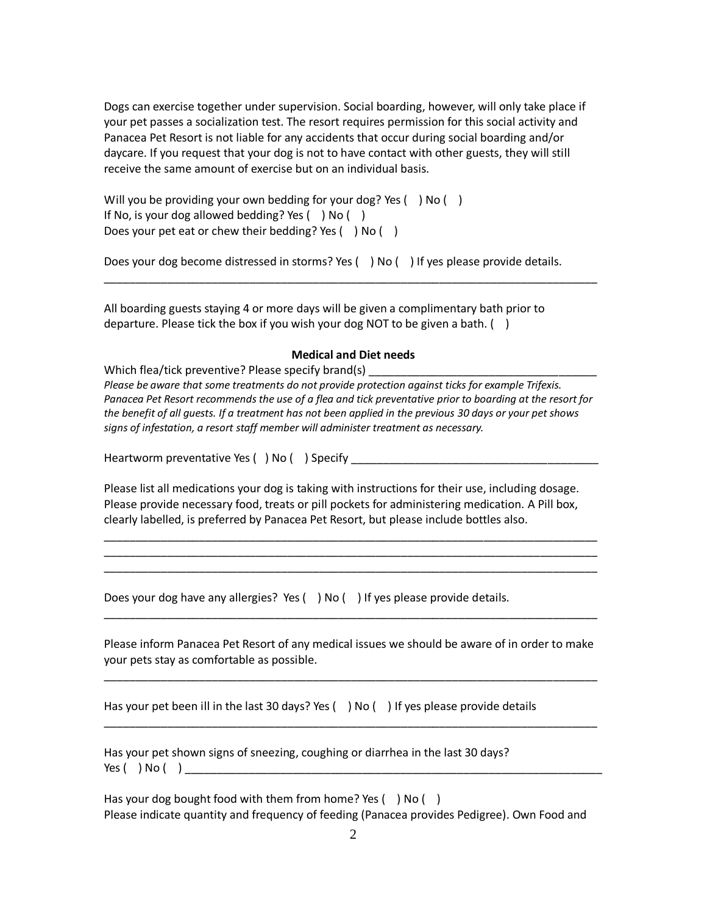Dogs can exercise together under supervision. Social boarding, however, will only take place if your pet passes a socialization test. The resort requires permission for this social activity and Panacea Pet Resort is not liable for any accidents that occur during social boarding and/or daycare. If you request that your dog is not to have contact with other guests, they will still receive the same amount of exercise but on an individual basis.

Will you be providing your own bedding for your dog? Yes  $( )$  No  $( )$ If No, is your dog allowed bedding? Yes () No () Does your pet eat or chew their bedding? Yes ( ) No ( )

Does your dog become distressed in storms? Yes () No () If yes please provide details.

All boarding guests staying 4 or more days will be given a complimentary bath prior to departure. Please tick the box if you wish your dog NOT to be given a bath. ()

#### **Medical and Diet needs**

\_\_\_\_\_\_\_\_\_\_\_\_\_\_\_\_\_\_\_\_\_\_\_\_\_\_\_\_\_\_\_\_\_\_\_\_\_\_\_\_\_\_\_\_\_\_\_\_\_\_\_\_\_\_\_\_\_\_\_\_\_\_\_\_\_\_\_\_\_\_\_\_\_\_\_\_\_\_

Which flea/tick preventive? Please specify brand(s) *Please be aware that some treatments do not provide protection against ticks for example Trifexis. Panacea Pet Resort recommends the use of a flea and tick preventative prior to boarding at the resort for the benefit of all guests. If a treatment has not been applied in the previous 30 days or your pet shows signs of infestation, a resort staff member will administer treatment as necessary.*

Heartworm preventative Yes () No () Specify

Please list all medications your dog is taking with instructions for their use, including dosage. Please provide necessary food, treats or pill pockets for administering medication. A Pill box, clearly labelled, is preferred by Panacea Pet Resort, but please include bottles also.

\_\_\_\_\_\_\_\_\_\_\_\_\_\_\_\_\_\_\_\_\_\_\_\_\_\_\_\_\_\_\_\_\_\_\_\_\_\_\_\_\_\_\_\_\_\_\_\_\_\_\_\_\_\_\_\_\_\_\_\_\_\_\_\_\_\_\_\_\_\_\_\_\_\_\_\_\_\_ \_\_\_\_\_\_\_\_\_\_\_\_\_\_\_\_\_\_\_\_\_\_\_\_\_\_\_\_\_\_\_\_\_\_\_\_\_\_\_\_\_\_\_\_\_\_\_\_\_\_\_\_\_\_\_\_\_\_\_\_\_\_\_\_\_\_\_\_\_\_\_\_\_\_\_\_\_\_ \_\_\_\_\_\_\_\_\_\_\_\_\_\_\_\_\_\_\_\_\_\_\_\_\_\_\_\_\_\_\_\_\_\_\_\_\_\_\_\_\_\_\_\_\_\_\_\_\_\_\_\_\_\_\_\_\_\_\_\_\_\_\_\_\_\_\_\_\_\_\_\_\_\_\_\_\_\_

Does your dog have any allergies? Yes () No () If yes please provide details.

Please inform Panacea Pet Resort of any medical issues we should be aware of in order to make your pets stay as comfortable as possible.

\_\_\_\_\_\_\_\_\_\_\_\_\_\_\_\_\_\_\_\_\_\_\_\_\_\_\_\_\_\_\_\_\_\_\_\_\_\_\_\_\_\_\_\_\_\_\_\_\_\_\_\_\_\_\_\_\_\_\_\_\_\_\_\_\_\_\_\_\_\_\_\_\_\_\_\_\_\_

\_\_\_\_\_\_\_\_\_\_\_\_\_\_\_\_\_\_\_\_\_\_\_\_\_\_\_\_\_\_\_\_\_\_\_\_\_\_\_\_\_\_\_\_\_\_\_\_\_\_\_\_\_\_\_\_\_\_\_\_\_\_\_\_\_\_\_\_\_\_\_\_\_\_\_\_\_\_

\_\_\_\_\_\_\_\_\_\_\_\_\_\_\_\_\_\_\_\_\_\_\_\_\_\_\_\_\_\_\_\_\_\_\_\_\_\_\_\_\_\_\_\_\_\_\_\_\_\_\_\_\_\_\_\_\_\_\_\_\_\_\_\_\_\_\_\_\_\_\_\_\_\_\_\_\_\_

Has your pet been ill in the last 30 days? Yes  $( )$  No  $( )$  If yes please provide details

Has your pet shown signs of sneezing, coughing or diarrhea in the last 30 days? Yes ( ) No ( ) \_\_\_

Has your dog bought food with them from home? Yes () No () Please indicate quantity and frequency of feeding (Panacea provides Pedigree). Own Food and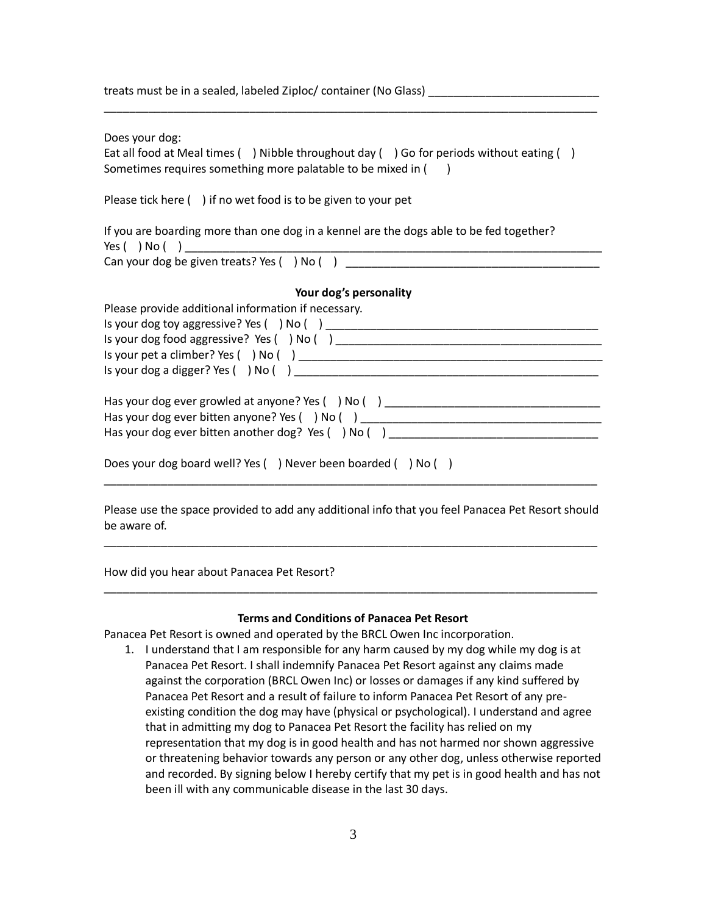| treats must be in a sealed, labeled Ziploc/ container (No Glass) |  |
|------------------------------------------------------------------|--|
|------------------------------------------------------------------|--|

Does your dog:

Eat all food at Meal times ( ) Nibble throughout day ( ) Go for periods without eating ( ) Sometimes requires something more palatable to be mixed in ()

\_\_\_\_\_\_\_\_\_\_\_\_\_\_\_\_\_\_\_\_\_\_\_\_\_\_\_\_\_\_\_\_\_\_\_\_\_\_\_\_\_\_\_\_\_\_\_\_\_\_\_\_\_\_\_\_\_\_\_\_\_\_\_\_\_\_\_\_\_\_\_\_\_\_\_\_\_\_

Please tick here () if no wet food is to be given to your pet

If you are boarding more than one dog in a kennel are the dogs able to be fed together? Yes  $( )$  No  $( )$   $]$ 

Can your dog be given treats? Yes  $($  ) No  $( )$   $)$ 

## **Your dog's personality**

| Please provide additional information if necessary.          |  |  |
|--------------------------------------------------------------|--|--|
| Is your dog toy aggressive? Yes $( )$ No $( )$               |  |  |
| Is your dog food aggressive? Yes () No ()                    |  |  |
|                                                              |  |  |
| Is your dog a digger? Yes $($ $)$ No $($ $)$                 |  |  |
|                                                              |  |  |
| Has your dog ever growled at anyone? Yes () No ()            |  |  |
| Has your dog ever bitten anyone? Yes () No ()                |  |  |
| Has your dog ever bitten another dog? Yes () No ()           |  |  |
|                                                              |  |  |
| Does your dog board well? Yes () Never been boarded () No () |  |  |

Please use the space provided to add any additional info that you feel Panacea Pet Resort should be aware of.

\_\_\_\_\_\_\_\_\_\_\_\_\_\_\_\_\_\_\_\_\_\_\_\_\_\_\_\_\_\_\_\_\_\_\_\_\_\_\_\_\_\_\_\_\_\_\_\_\_\_\_\_\_\_\_\_\_\_\_\_\_\_\_\_\_\_\_\_\_\_\_\_\_\_\_\_\_\_

\_\_\_\_\_\_\_\_\_\_\_\_\_\_\_\_\_\_\_\_\_\_\_\_\_\_\_\_\_\_\_\_\_\_\_\_\_\_\_\_\_\_\_\_\_\_\_\_\_\_\_\_\_\_\_\_\_\_\_\_\_\_\_\_\_\_\_\_\_\_\_\_\_\_\_\_\_\_

How did you hear about Panacea Pet Resort?

### **Terms and Conditions of Panacea Pet Resort**

\_\_\_\_\_\_\_\_\_\_\_\_\_\_\_\_\_\_\_\_\_\_\_\_\_\_\_\_\_\_\_\_\_\_\_\_\_\_\_\_\_\_\_\_\_\_\_\_\_\_\_\_\_\_\_\_\_\_\_\_\_\_\_\_\_\_\_\_\_\_\_\_\_\_\_\_\_\_

Panacea Pet Resort is owned and operated by the BRCL Owen Inc incorporation.

1. I understand that I am responsible for any harm caused by my dog while my dog is at Panacea Pet Resort. I shall indemnify Panacea Pet Resort against any claims made against the corporation (BRCL Owen Inc) or losses or damages if any kind suffered by Panacea Pet Resort and a result of failure to inform Panacea Pet Resort of any preexisting condition the dog may have (physical or psychological). I understand and agree that in admitting my dog to Panacea Pet Resort the facility has relied on my representation that my dog is in good health and has not harmed nor shown aggressive or threatening behavior towards any person or any other dog, unless otherwise reported and recorded. By signing below I hereby certify that my pet is in good health and has not been ill with any communicable disease in the last 30 days.